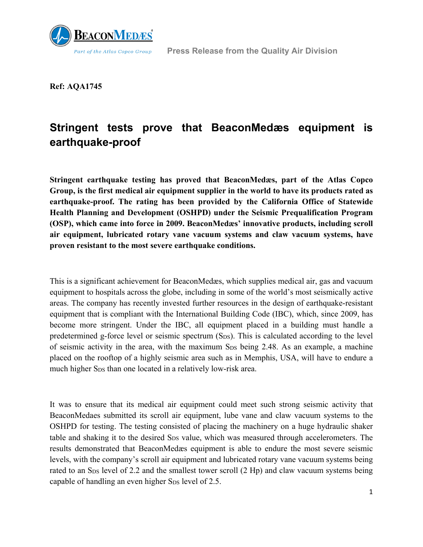

 **Press Release from the Quality Air Division**

**Ref: AQA1745**

## **Stringent tests prove that BeaconMedæs equipment is earthquake-proof**

**Stringent earthquake testing has proved that BeaconMedæs, part of the Atlas Copco Group, is the first medical air equipment supplier in the world to have its products rated as earthquake-proof. The rating has been provided by the California Office of Statewide Health Planning and Development (OSHPD) under the Seismic Prequalification Program (OSP), which came into force in 2009. BeaconMedæs' innovative products, including scroll air equipment, lubricated rotary vane vacuum systems and claw vacuum systems, have proven resistant to the most severe earthquake conditions.** 

This is a significant achievement for BeaconMedæs, which supplies medical air, gas and vacuum equipment to hospitals across the globe, including in some of the world's most seismically active areas. The company has recently invested further resources in the design of earthquake-resistant equipment that is compliant with the International Building Code (IBC), which, since 2009, has become more stringent. Under the IBC, all equipment placed in a building must handle a predetermined g-force level or seismic spectrum (S<sub>DS</sub>). This is calculated according to the level of seismic activity in the area, with the maximum S<sub>DS</sub> being 2.48. As an example, a machine placed on the rooftop of a highly seismic area such as in Memphis, USA, will have to endure a much higher S<sub>DS</sub> than one located in a relatively low-risk area.

It was to ensure that its medical air equipment could meet such strong seismic activity that BeaconMedaes submitted its scroll air equipment, lube vane and claw vacuum systems to the OSHPD for testing. The testing consisted of placing the machinery on a huge hydraulic shaker table and shaking it to the desired SDS value, which was measured through accelerometers. The results demonstrated that BeaconMedæs equipment is able to endure the most severe seismic levels, with the company's scroll air equipment and lubricated rotary vane vacuum systems being rated to an  $S_{DS}$  level of 2.2 and the smallest tower scroll (2 Hp) and claw vacuum systems being capable of handling an even higher S<sub>DS</sub> level of 2.5.